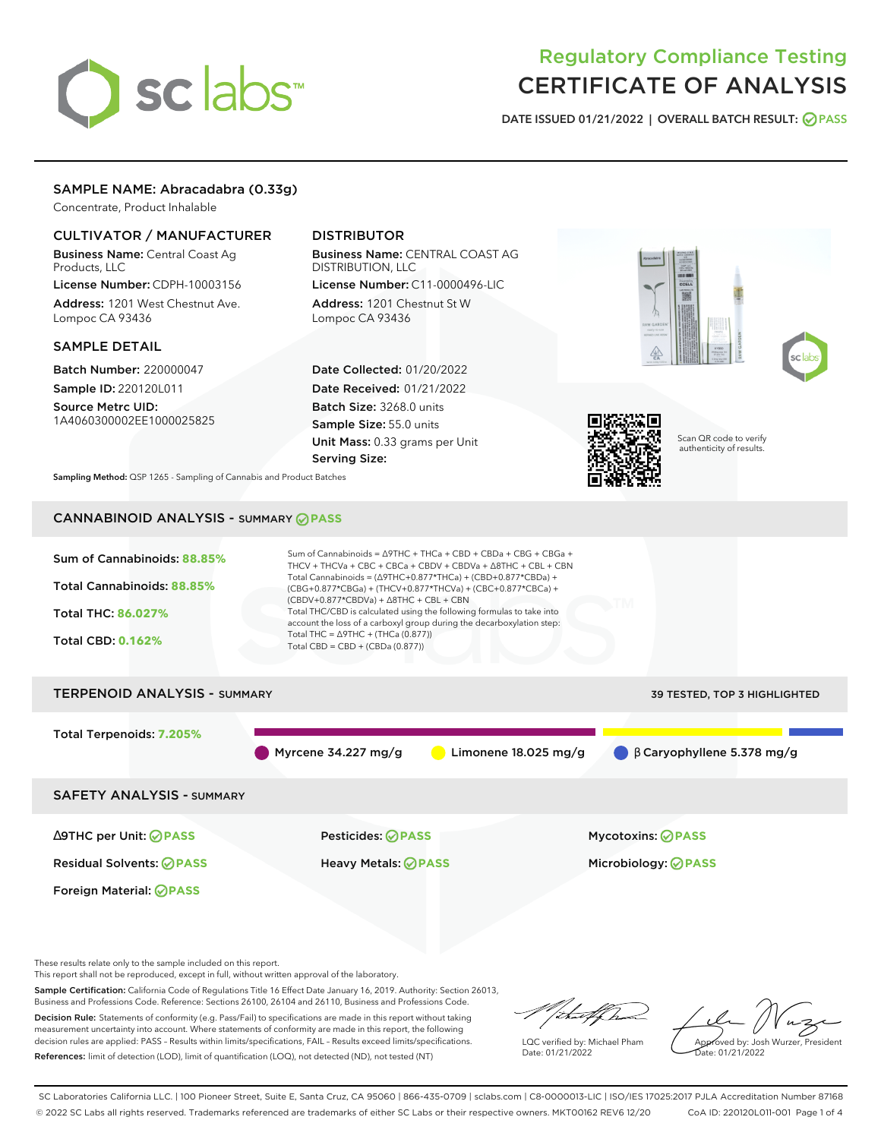# sclabs<sup>\*</sup>

# Regulatory Compliance Testing CERTIFICATE OF ANALYSIS

**DATE ISSUED 01/21/2022 | OVERALL BATCH RESULT: PASS**

# SAMPLE NAME: Abracadabra (0.33g)

Concentrate, Product Inhalable

# CULTIVATOR / MANUFACTURER

Business Name: Central Coast Ag Products, LLC

License Number: CDPH-10003156 Address: 1201 West Chestnut Ave. Lompoc CA 93436

### SAMPLE DETAIL

Batch Number: 220000047

Sample ID: 220120L011 Source Metrc UID: 1A4060300002EE1000025825

# DISTRIBUTOR

Business Name: CENTRAL COAST AG DISTRIBUTION, LLC License Number: C11-0000496-LIC

Address: 1201 Chestnut St W Lompoc CA 93436

Date Collected: 01/20/2022 Date Received: 01/21/2022 Batch Size: 3268.0 units Sample Size: 55.0 units Unit Mass: 0.33 grams per Unit Serving Size:







Scan QR code to verify authenticity of results.

**Sampling Method:** QSP 1265 - Sampling of Cannabis and Product Batches

# CANNABINOID ANALYSIS - SUMMARY **PASS**

| Sum of Cannabinoids: 88.85%         | Sum of Cannabinoids = $\triangle$ 9THC + THCa + CBD + CBDa + CBG + CBGa +<br>THCV + THCVa + CBC + CBCa + CBDV + CBDVa + $\Delta$ 8THC + CBL + CBN                                    |                                             |  |  |  |  |
|-------------------------------------|--------------------------------------------------------------------------------------------------------------------------------------------------------------------------------------|---------------------------------------------|--|--|--|--|
| Total Cannabinoids: 88.85%          | Total Cannabinoids = $(\Delta$ 9THC+0.877*THCa) + (CBD+0.877*CBDa) +<br>(CBG+0.877*CBGa) + (THCV+0.877*THCVa) + (CBC+0.877*CBCa) +<br>$(CBDV+0.877*CBDVa) + \Delta 8THC + CBL + CBN$ |                                             |  |  |  |  |
| <b>Total THC: 86.027%</b>           | Total THC/CBD is calculated using the following formulas to take into<br>account the loss of a carboxyl group during the decarboxylation step:                                       |                                             |  |  |  |  |
| <b>Total CBD: 0.162%</b>            | Total THC = $\triangle$ 9THC + (THCa (0.877))<br>Total CBD = $CBD + (CBDa (0.877))$                                                                                                  |                                             |  |  |  |  |
| <b>TERPENOID ANALYSIS - SUMMARY</b> |                                                                                                                                                                                      | 39 TESTED, TOP 3 HIGHLIGHTED                |  |  |  |  |
| Total Terpenoids: 7.205%            |                                                                                                                                                                                      |                                             |  |  |  |  |
|                                     | Myrcene 34.227 mg/g<br>Limonene $18.025$ mg/g                                                                                                                                        | $\bigcirc$ $\beta$ Caryophyllene 5.378 mg/g |  |  |  |  |
| <b>SAFETY ANALYSIS - SUMMARY</b>    |                                                                                                                                                                                      |                                             |  |  |  |  |
| ∆9THC per Unit: ⊘PASS               | Pesticides: ⊘PASS                                                                                                                                                                    | <b>Mycotoxins: ⊘PASS</b>                    |  |  |  |  |
| <b>Residual Solvents: ⊘PASS</b>     | Heavy Metals: ⊘ PASS                                                                                                                                                                 | Microbiology: <b>⊘PASS</b>                  |  |  |  |  |
| Foreign Material: <b>⊘ PASS</b>     |                                                                                                                                                                                      |                                             |  |  |  |  |

These results relate only to the sample included on this report.

This report shall not be reproduced, except in full, without written approval of the laboratory.

Sample Certification: California Code of Regulations Title 16 Effect Date January 16, 2019. Authority: Section 26013, Business and Professions Code. Reference: Sections 26100, 26104 and 26110, Business and Professions Code.

Decision Rule: Statements of conformity (e.g. Pass/Fail) to specifications are made in this report without taking measurement uncertainty into account. Where statements of conformity are made in this report, the following decision rules are applied: PASS – Results within limits/specifications, FAIL – Results exceed limits/specifications. References: limit of detection (LOD), limit of quantification (LOQ), not detected (ND), not tested (NT)

/that f(ho

LQC verified by: Michael Pham Date: 01/21/2022

Approved by: Josh Wurzer, President

ate: 01/21/2022

SC Laboratories California LLC. | 100 Pioneer Street, Suite E, Santa Cruz, CA 95060 | 866-435-0709 | sclabs.com | C8-0000013-LIC | ISO/IES 17025:2017 PJLA Accreditation Number 87168 © 2022 SC Labs all rights reserved. Trademarks referenced are trademarks of either SC Labs or their respective owners. MKT00162 REV6 12/20 CoA ID: 220120L011-001 Page 1 of 4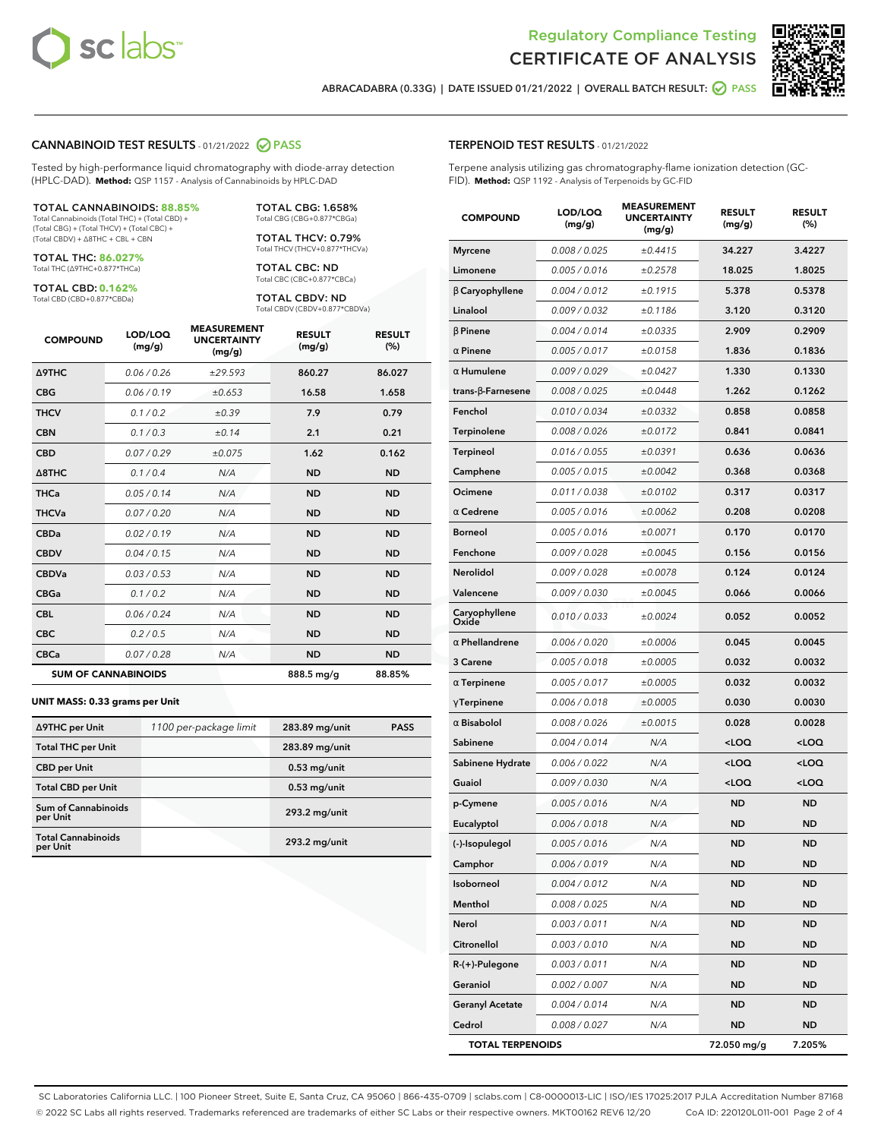



**ABRACADABRA (0.33G) | DATE ISSUED 01/21/2022 | OVERALL BATCH RESULT: PASS**

#### **CANNABINOID TEST RESULTS** - 01/21/2022 **PASS**

Tested by high-performance liquid chromatography with diode-array detection (HPLC-DAD). **Method:** QSP 1157 - Analysis of Cannabinoids by HPLC-DAD

#### TOTAL CANNABINOIDS: **88.85%**

Total Cannabinoids (Total THC) + (Total CBD) + (Total CBG) + (Total THCV) + (Total CBC) + (Total CBDV) + ∆8THC + CBL + CBN

TOTAL THC: **86.027%** Total THC (∆9THC+0.877\*THCa)

TOTAL CBD: **0.162%**

Total CBD (CBD+0.877\*CBDa)

TOTAL CBG: 1.658% Total CBG (CBG+0.877\*CBGa)

TOTAL THCV: 0.79% Total THCV (THCV+0.877\*THCVa)

TOTAL CBC: ND Total CBC (CBC+0.877\*CBCa)

TOTAL CBDV: ND Total CBDV (CBDV+0.877\*CBDVa)

| <b>COMPOUND</b>            | LOD/LOQ<br>(mg/g) | <b>MEASUREMENT</b><br><b>UNCERTAINTY</b><br>(mg/g) | <b>RESULT</b><br>(mg/g) | <b>RESULT</b><br>(%) |
|----------------------------|-------------------|----------------------------------------------------|-------------------------|----------------------|
| <b>A9THC</b>               | 0.06/0.26         | ±29.593                                            | 860.27                  | 86.027               |
| <b>CBG</b>                 | 0.06/0.19         | ±0.653                                             | 16.58                   | 1.658                |
| <b>THCV</b>                | 0.1/0.2           | ±0.39                                              | 7.9                     | 0.79                 |
| <b>CBN</b>                 | 0.1/0.3           | ±0.14                                              | 2.1                     | 0.21                 |
| <b>CBD</b>                 | 0.07/0.29         | ±0.075                                             | 1.62                    | 0.162                |
| $\triangle$ 8THC           | 0.1 / 0.4         | N/A                                                | <b>ND</b>               | <b>ND</b>            |
| <b>THCa</b>                | 0.05/0.14         | N/A                                                | <b>ND</b>               | <b>ND</b>            |
| <b>THCVa</b>               | 0.07/0.20         | N/A                                                | <b>ND</b>               | <b>ND</b>            |
| <b>CBDa</b>                | 0.02/0.19         | N/A                                                | <b>ND</b>               | <b>ND</b>            |
| <b>CBDV</b>                | 0.04 / 0.15       | N/A                                                | <b>ND</b>               | <b>ND</b>            |
| <b>CBDVa</b>               | 0.03/0.53         | N/A                                                | <b>ND</b>               | <b>ND</b>            |
| <b>CBGa</b>                | 0.1/0.2           | N/A                                                | <b>ND</b>               | <b>ND</b>            |
| <b>CBL</b>                 | 0.06 / 0.24       | N/A                                                | <b>ND</b>               | <b>ND</b>            |
| <b>CBC</b>                 | 0.2 / 0.5         | N/A                                                | <b>ND</b>               | <b>ND</b>            |
| <b>CBCa</b>                | 0.07/0.28         | N/A                                                | <b>ND</b>               | <b>ND</b>            |
| <b>SUM OF CANNABINOIDS</b> |                   |                                                    | 888.5 mg/g              | 88.85%               |

#### **UNIT MASS: 0.33 grams per Unit**

| ∆9THC per Unit                         | 1100 per-package limit | 283.89 mg/unit | <b>PASS</b> |
|----------------------------------------|------------------------|----------------|-------------|
| <b>Total THC per Unit</b>              |                        | 283.89 mg/unit |             |
| <b>CBD</b> per Unit                    |                        | $0.53$ mg/unit |             |
| <b>Total CBD per Unit</b>              |                        | $0.53$ mg/unit |             |
| <b>Sum of Cannabinoids</b><br>per Unit |                        | 293.2 mg/unit  |             |
| <b>Total Cannabinoids</b><br>per Unit  |                        | 293.2 mg/unit  |             |

| <b>COMPOUND</b>          | LOD/LOQ<br>(mg/g) | <b>MEASUREMENT</b><br><b>UNCERTAINTY</b><br>(mg/g) | <b>RESULT</b><br>(mg/g)                         | <b>RESULT</b><br>$(\%)$ |
|--------------------------|-------------------|----------------------------------------------------|-------------------------------------------------|-------------------------|
| <b>Myrcene</b>           | 0.008 / 0.025     | ±0.4415                                            | 34.227                                          | 3.4227                  |
| Limonene                 | 0.005 / 0.016     | ±0.2578                                            | 18.025                                          | 1.8025                  |
| $\beta$ Caryophyllene    | 0.004 / 0.012     | ±0.1915                                            | 5.378                                           | 0.5378                  |
| Linalool                 | 0.009 / 0.032     | ±0.1186                                            | 3.120                                           | 0.3120                  |
| $\beta$ Pinene           | 0.004 / 0.014     | ±0.0335                                            | 2.909                                           | 0.2909                  |
| $\alpha$ Pinene          | 0.005 / 0.017     | ±0.0158                                            | 1.836                                           | 0.1836                  |
| $\alpha$ Humulene        | 0.009/0.029       | ±0.0427                                            | 1.330                                           | 0.1330                  |
| $trans-\beta$ -Farnesene | 0.008 / 0.025     | ±0.0448                                            | 1.262                                           | 0.1262                  |
| Fenchol                  | 0.010 / 0.034     | ±0.0332                                            | 0.858                                           | 0.0858                  |
| Terpinolene              | 0.008 / 0.026     | ±0.0172                                            | 0.841                                           | 0.0841                  |
| Terpineol                | 0.016 / 0.055     | ±0.0391                                            | 0.636                                           | 0.0636                  |
| Camphene                 | 0.005 / 0.015     | ±0.0042                                            | 0.368                                           | 0.0368                  |
| Ocimene                  | 0.011 / 0.038     | ±0.0102                                            | 0.317                                           | 0.0317                  |
| $\alpha$ Cedrene         | 0.005 / 0.016     | ±0.0062                                            | 0.208                                           | 0.0208                  |
| <b>Borneol</b>           | 0.005 / 0.016     | ±0.0071                                            | 0.170                                           | 0.0170                  |
| Fenchone                 | 0.009 / 0.028     | ±0.0045                                            | 0.156                                           | 0.0156                  |
| Nerolidol                | 0.009 / 0.028     | ±0.0078                                            | 0.124                                           | 0.0124                  |
| Valencene                | 0.009 / 0.030     | ±0.0045                                            | 0.066                                           | 0.0066                  |
| Caryophyllene<br>Oxide   | 0.010 / 0.033     | ±0.0024                                            | 0.052                                           | 0.0052                  |
| $\alpha$ Phellandrene    | 0.006 / 0.020     | ±0.0006                                            | 0.045                                           | 0.0045                  |
| 3 Carene                 | 0.005 / 0.018     | ±0.0005                                            | 0.032                                           | 0.0032                  |
| $\alpha$ Terpinene       | 0.005 / 0.017     | ±0.0005                                            | 0.032                                           | 0.0032                  |
| $\gamma$ Terpinene       | 0.006 / 0.018     | ±0.0005                                            | 0.030                                           | 0.0030                  |
| $\alpha$ Bisabolol       | 0.008 / 0.026     | ±0.0015                                            | 0.028                                           | 0.0028                  |
| Sabinene                 | 0.004 / 0.014     | N/A                                                | $<$ LOQ                                         | $<$ LOQ                 |
| Sabinene Hydrate         | 0.006 / 0.022     | N/A                                                | <loq< th=""><th><loq< th=""></loq<></th></loq<> | <loq< th=""></loq<>     |
| Guaiol                   | 0.009 / 0.030     | N/A                                                | <loq< th=""><th><loq< th=""></loq<></th></loq<> | <loq< th=""></loq<>     |
| p-Cymene                 | 0.005 / 0.016     | N/A                                                | <b>ND</b>                                       | <b>ND</b>               |
| Eucalyptol               | 0.006 / 0.018     | N/A                                                | <b>ND</b>                                       | <b>ND</b>               |
| (-)-Isopulegol           | 0.005/0.016       | N/A                                                | <b>ND</b>                                       | <b>ND</b>               |
| Camphor                  | 0.006 / 0.019     | N/A                                                | ND                                              | ND                      |
| Isoborneol               | 0.004 / 0.012     | N/A                                                | <b>ND</b>                                       | ND                      |
| Menthol                  | 0.008 / 0.025     | N/A                                                | ND                                              | ND                      |
| Nerol                    | 0.003 / 0.011     | N/A                                                | ND                                              | <b>ND</b>               |
| Citronellol              | 0.003 / 0.010     | N/A                                                | ND                                              | ND                      |
| $R-(+)$ -Pulegone        | 0.003 / 0.011     | N/A                                                | ND                                              | ND                      |
| Geraniol                 | 0.002 / 0.007     | N/A                                                | ND                                              | <b>ND</b>               |
| <b>Geranyl Acetate</b>   | 0.004 / 0.014     | N/A                                                | ND                                              | ND                      |
| Cedrol                   | 0.008 / 0.027     | N/A                                                | ND                                              | ND                      |
| <b>TOTAL TERPENOIDS</b>  |                   | 72.050 mg/g                                        | 7.205%                                          |                         |

SC Laboratories California LLC. | 100 Pioneer Street, Suite E, Santa Cruz, CA 95060 | 866-435-0709 | sclabs.com | C8-0000013-LIC | ISO/IES 17025:2017 PJLA Accreditation Number 87168 © 2022 SC Labs all rights reserved. Trademarks referenced are trademarks of either SC Labs or their respective owners. MKT00162 REV6 12/20 CoA ID: 220120L011-001 Page 2 of 4

# **TERPENOID TEST RESULTS** - 01/21/2022

Terpene analysis utilizing gas chromatography-flame ionization detection (GC-FID). **Method:** QSP 1192 - Analysis of Terpenoids by GC-FID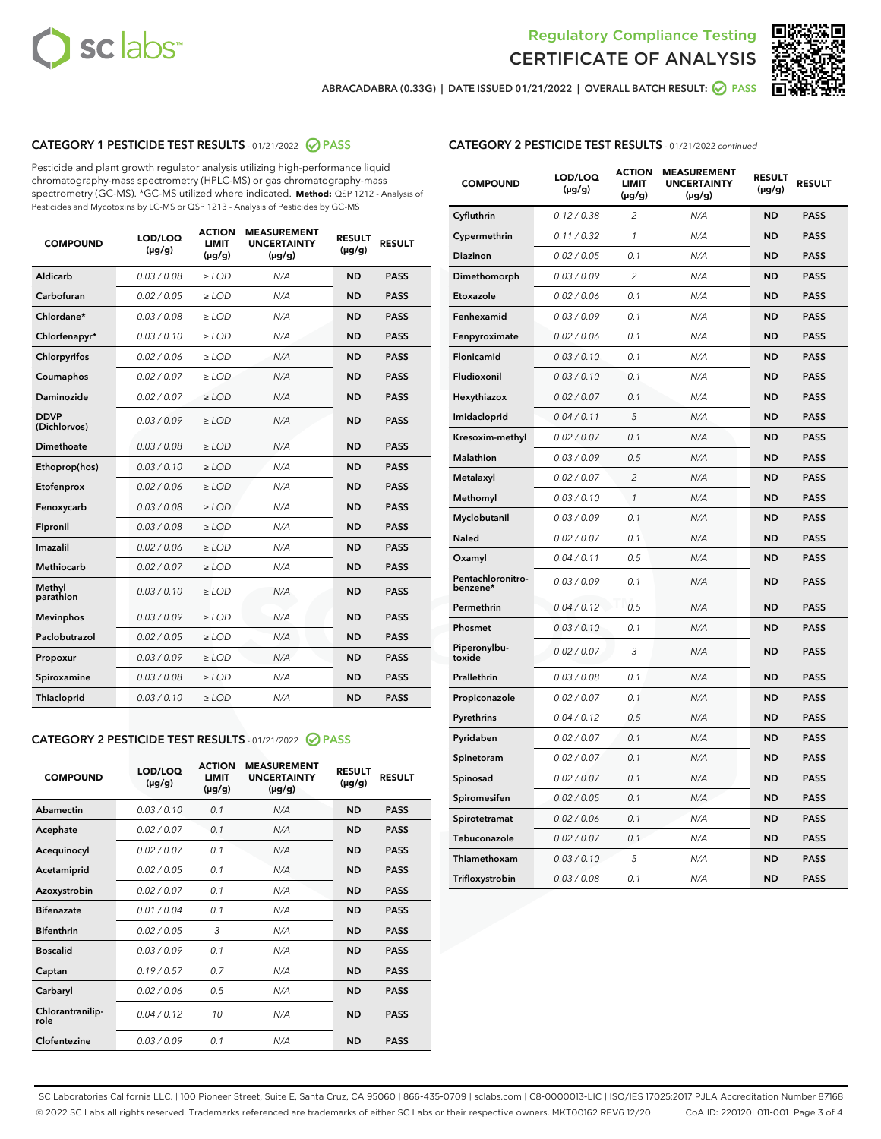



**ABRACADABRA (0.33G) | DATE ISSUED 01/21/2022 | OVERALL BATCH RESULT: PASS**

# **CATEGORY 1 PESTICIDE TEST RESULTS** - 01/21/2022 **PASS**

Pesticide and plant growth regulator analysis utilizing high-performance liquid chromatography-mass spectrometry (HPLC-MS) or gas chromatography-mass spectrometry (GC-MS). \*GC-MS utilized where indicated. **Method:** QSP 1212 - Analysis of Pesticides and Mycotoxins by LC-MS or QSP 1213 - Analysis of Pesticides by GC-MS

| <b>COMPOUND</b>             | LOD/LOQ<br>$(\mu g/g)$ | <b>ACTION</b><br><b>LIMIT</b><br>$(\mu g/g)$ | <b>MEASUREMENT</b><br><b>UNCERTAINTY</b><br>$(\mu g/g)$ | <b>RESULT</b><br>$(\mu g/g)$ | <b>RESULT</b> |
|-----------------------------|------------------------|----------------------------------------------|---------------------------------------------------------|------------------------------|---------------|
| Aldicarb                    | 0.03 / 0.08            | $\ge$ LOD                                    | N/A                                                     | <b>ND</b>                    | <b>PASS</b>   |
| Carbofuran                  | 0.02 / 0.05            | $\ge$ LOD                                    | N/A                                                     | <b>ND</b>                    | <b>PASS</b>   |
| Chlordane*                  | 0.03 / 0.08            | $\ge$ LOD                                    | N/A                                                     | <b>ND</b>                    | <b>PASS</b>   |
| Chlorfenapyr*               | 0.03/0.10              | $\ge$ LOD                                    | N/A                                                     | <b>ND</b>                    | <b>PASS</b>   |
| Chlorpyrifos                | 0.02 / 0.06            | $>$ LOD                                      | N/A                                                     | <b>ND</b>                    | <b>PASS</b>   |
| Coumaphos                   | 0.02 / 0.07            | $\ge$ LOD                                    | N/A                                                     | <b>ND</b>                    | <b>PASS</b>   |
| Daminozide                  | 0.02/0.07              | $>$ LOD                                      | N/A                                                     | <b>ND</b>                    | <b>PASS</b>   |
| <b>DDVP</b><br>(Dichlorvos) | 0.03/0.09              | $\ge$ LOD                                    | N/A                                                     | <b>ND</b>                    | <b>PASS</b>   |
| <b>Dimethoate</b>           | 0.03/0.08              | $\ge$ LOD                                    | N/A                                                     | <b>ND</b>                    | <b>PASS</b>   |
| Ethoprop(hos)               | 0.03/0.10              | $\ge$ LOD                                    | N/A                                                     | <b>ND</b>                    | <b>PASS</b>   |
| Etofenprox                  | 0.02 / 0.06            | $\ge$ LOD                                    | N/A                                                     | <b>ND</b>                    | <b>PASS</b>   |
| Fenoxycarb                  | 0.03 / 0.08            | $\ge$ LOD                                    | N/A                                                     | <b>ND</b>                    | <b>PASS</b>   |
| Fipronil                    | 0.03/0.08              | $\ge$ LOD                                    | N/A                                                     | <b>ND</b>                    | <b>PASS</b>   |
| Imazalil                    | 0.02 / 0.06            | $>$ LOD                                      | N/A                                                     | <b>ND</b>                    | <b>PASS</b>   |
| <b>Methiocarb</b>           | 0.02 / 0.07            | $\ge$ LOD                                    | N/A                                                     | <b>ND</b>                    | <b>PASS</b>   |
| Methyl<br>parathion         | 0.03/0.10              | $\ge$ LOD                                    | N/A                                                     | <b>ND</b>                    | <b>PASS</b>   |
| <b>Mevinphos</b>            | 0.03/0.09              | $\ge$ LOD                                    | N/A                                                     | <b>ND</b>                    | <b>PASS</b>   |
| Paclobutrazol               | 0.02 / 0.05            | $\geq$ LOD                                   | N/A                                                     | <b>ND</b>                    | <b>PASS</b>   |
| Propoxur                    | 0.03/0.09              | $>$ LOD                                      | N/A                                                     | <b>ND</b>                    | <b>PASS</b>   |
| Spiroxamine                 | 0.03 / 0.08            | $\ge$ LOD                                    | N/A                                                     | <b>ND</b>                    | <b>PASS</b>   |
| Thiacloprid                 | 0.03/0.10              | $\ge$ LOD                                    | N/A                                                     | <b>ND</b>                    | <b>PASS</b>   |
|                             |                        |                                              |                                                         |                              |               |

# **CATEGORY 2 PESTICIDE TEST RESULTS** - 01/21/2022 **PASS**

| <b>COMPOUND</b>          | LOD/LOO<br>$(\mu g/g)$ | <b>ACTION</b><br>LIMIT<br>$(\mu g/g)$ | <b>MEASUREMENT</b><br><b>UNCERTAINTY</b><br>$(\mu g/g)$ | <b>RESULT</b><br>$(\mu g/g)$ | <b>RESULT</b> |
|--------------------------|------------------------|---------------------------------------|---------------------------------------------------------|------------------------------|---------------|
| Abamectin                | 0.03/0.10              | 0.1                                   | N/A                                                     | <b>ND</b>                    | <b>PASS</b>   |
| Acephate                 | 0.02/0.07              | 0.1                                   | N/A                                                     | <b>ND</b>                    | <b>PASS</b>   |
| Acequinocyl              | 0.02/0.07              | 0.1                                   | N/A                                                     | <b>ND</b>                    | <b>PASS</b>   |
| Acetamiprid              | 0.02/0.05              | 0.1                                   | N/A                                                     | <b>ND</b>                    | <b>PASS</b>   |
| Azoxystrobin             | 0.02/0.07              | 0.1                                   | N/A                                                     | <b>ND</b>                    | <b>PASS</b>   |
| <b>Bifenazate</b>        | 0.01/0.04              | 0.1                                   | N/A                                                     | <b>ND</b>                    | <b>PASS</b>   |
| <b>Bifenthrin</b>        | 0.02 / 0.05            | 3                                     | N/A                                                     | <b>ND</b>                    | <b>PASS</b>   |
| <b>Boscalid</b>          | 0.03/0.09              | 0.1                                   | N/A                                                     | <b>ND</b>                    | <b>PASS</b>   |
| Captan                   | 0.19/0.57              | 0.7                                   | N/A                                                     | <b>ND</b>                    | <b>PASS</b>   |
| Carbaryl                 | 0.02/0.06              | 0.5                                   | N/A                                                     | <b>ND</b>                    | <b>PASS</b>   |
| Chlorantranilip-<br>role | 0.04/0.12              | 10                                    | N/A                                                     | <b>ND</b>                    | <b>PASS</b>   |
| Clofentezine             | 0.03/0.09              | 0.1                                   | N/A                                                     | <b>ND</b>                    | <b>PASS</b>   |

| <b>CATEGORY 2 PESTICIDE TEST RESULTS</b> - 01/21/2022 continued |
|-----------------------------------------------------------------|
|-----------------------------------------------------------------|

| <b>COMPOUND</b>               | LOD/LOQ<br>(µg/g) | <b>ACTION</b><br><b>LIMIT</b><br>$(\mu g/g)$ | <b>MEASUREMENT</b><br><b>UNCERTAINTY</b><br>$(\mu g/g)$ | <b>RESULT</b><br>(µg/g) | <b>RESULT</b> |
|-------------------------------|-------------------|----------------------------------------------|---------------------------------------------------------|-------------------------|---------------|
| Cyfluthrin                    | 0.12 / 0.38       | $\overline{c}$                               | N/A                                                     | ND                      | <b>PASS</b>   |
| Cypermethrin                  | 0.11 / 0.32       | 1                                            | N/A                                                     | ND                      | <b>PASS</b>   |
| <b>Diazinon</b>               | 0.02 / 0.05       | 0.1                                          | N/A                                                     | ND                      | <b>PASS</b>   |
| Dimethomorph                  | 0.03 / 0.09       | $\overline{c}$                               | N/A                                                     | <b>ND</b>               | <b>PASS</b>   |
| Etoxazole                     | 0.02 / 0.06       | 0.1                                          | N/A                                                     | ND                      | <b>PASS</b>   |
| Fenhexamid                    | 0.03 / 0.09       | 0.1                                          | N/A                                                     | ND                      | <b>PASS</b>   |
| Fenpyroximate                 | 0.02 / 0.06       | 0.1                                          | N/A                                                     | ND                      | <b>PASS</b>   |
| Flonicamid                    | 0.03 / 0.10       | 0.1                                          | N/A                                                     | <b>ND</b>               | <b>PASS</b>   |
| Fludioxonil                   | 0.03 / 0.10       | 0.1                                          | N/A                                                     | ND                      | <b>PASS</b>   |
| Hexythiazox                   | 0.02 / 0.07       | 0.1                                          | N/A                                                     | <b>ND</b>               | <b>PASS</b>   |
| Imidacloprid                  | 0.04 / 0.11       | 5                                            | N/A                                                     | <b>ND</b>               | <b>PASS</b>   |
| Kresoxim-methyl               | 0.02 / 0.07       | 0.1                                          | N/A                                                     | ND                      | <b>PASS</b>   |
| <b>Malathion</b>              | 0.03 / 0.09       | 0.5                                          | N/A                                                     | <b>ND</b>               | <b>PASS</b>   |
| Metalaxyl                     | 0.02 / 0.07       | $\overline{2}$                               | N/A                                                     | <b>ND</b>               | <b>PASS</b>   |
| Methomyl                      | 0.03 / 0.10       | 1                                            | N/A                                                     | <b>ND</b>               | <b>PASS</b>   |
| Myclobutanil                  | 0.03 / 0.09       | 0.1                                          | N/A                                                     | ND                      | <b>PASS</b>   |
| Naled                         | 0.02 / 0.07       | 0.1                                          | N/A                                                     | <b>ND</b>               | <b>PASS</b>   |
| Oxamyl                        | 0.04 / 0.11       | 0.5                                          | N/A                                                     | <b>ND</b>               | <b>PASS</b>   |
| Pentachloronitro-<br>benzene* | 0.03 / 0.09       | 0.1                                          | N/A                                                     | <b>ND</b>               | <b>PASS</b>   |
| Permethrin                    | 0.04 / 0.12       | 0.5                                          | N/A                                                     | ND                      | <b>PASS</b>   |
| Phosmet                       | 0.03 / 0.10       | 0.1                                          | N/A                                                     | <b>ND</b>               | <b>PASS</b>   |
| Piperonylbu-<br>toxide        | 0.02 / 0.07       | 3                                            | N/A                                                     | ND                      | <b>PASS</b>   |
| Prallethrin                   | 0.03 / 0.08       | 0.1                                          | N/A                                                     | ND                      | <b>PASS</b>   |
| Propiconazole                 | 0.02 / 0.07       | 0.1                                          | N/A                                                     | ND                      | <b>PASS</b>   |
| Pyrethrins                    | 0.04 / 0.12       | 0.5                                          | N/A                                                     | ND                      | <b>PASS</b>   |
| Pyridaben                     | 0.02 / 0.07       | 0.1                                          | N/A                                                     | ND                      | <b>PASS</b>   |
| Spinetoram                    | 0.02 / 0.07       | 0.1                                          | N/A                                                     | ND                      | <b>PASS</b>   |
| Spinosad                      | 0.02 / 0.07       | 0.1                                          | N/A                                                     | ND                      | <b>PASS</b>   |
| Spiromesifen                  | 0.02 / 0.05       | 0.1                                          | N/A                                                     | <b>ND</b>               | <b>PASS</b>   |
| Spirotetramat                 | 0.02 / 0.06       | 0.1                                          | N/A                                                     | <b>ND</b>               | <b>PASS</b>   |
| Tebuconazole                  | 0.02 / 0.07       | 0.1                                          | N/A                                                     | <b>ND</b>               | <b>PASS</b>   |
| Thiamethoxam                  | 0.03 / 0.10       | 5                                            | N/A                                                     | ND                      | <b>PASS</b>   |
| Trifloxystrobin               | 0.03 / 0.08       | 0.1                                          | N/A                                                     | <b>ND</b>               | <b>PASS</b>   |

SC Laboratories California LLC. | 100 Pioneer Street, Suite E, Santa Cruz, CA 95060 | 866-435-0709 | sclabs.com | C8-0000013-LIC | ISO/IES 17025:2017 PJLA Accreditation Number 87168 © 2022 SC Labs all rights reserved. Trademarks referenced are trademarks of either SC Labs or their respective owners. MKT00162 REV6 12/20 CoA ID: 220120L011-001 Page 3 of 4